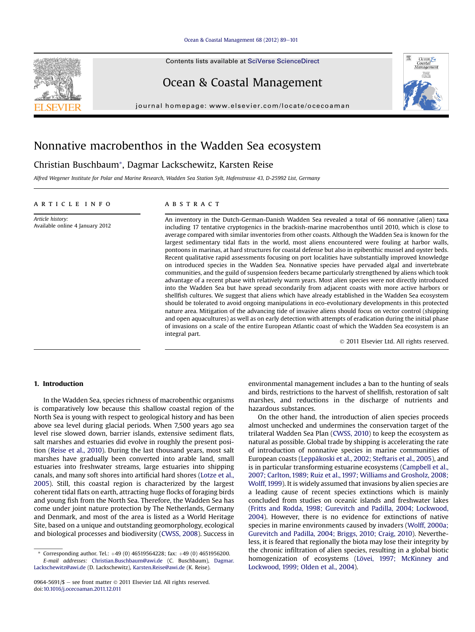## [Ocean & Coastal Management 68 \(2012\) 89](http://dx.doi.org/10.1016/j.ocecoaman.2011.12.011)-[101](http://dx.doi.org/10.1016/j.ocecoaman.2011.12.011)

Contents lists available at SciVerse ScienceDirect

## Ocean & Coastal Management

journal homepage: [www.elsevier.com/locate/ocecoaman](http://www.elsevier.com/locate/ocecoaman)

# Nonnative macrobenthos in the Wadden Sea ecosystem

## Christian Buschbaum\*, Dagmar Lackschewitz, Karsten Reise

Alfred Wegener Institute for Polar and Marine Research, Wadden Sea Station Sylt, Hafenstrasse 43, D-25992 List, Germany

#### article info

Article history: Available online 4 January 2012

## **ABSTRACT**

An inventory in the Dutch-German-Danish Wadden Sea revealed a total of 66 nonnative (alien) taxa including 17 tentative cryptogenics in the brackish-marine macrobenthos until 2010, which is close to average compared with similar inventories from other coasts. Although the Wadden Sea is known for the largest sedimentary tidal flats in the world, most aliens encountered were fouling at harbor walls, pontoons in marinas, at hard structures for coastal defense but also in epibenthic mussel and oyster beds. Recent qualitative rapid assessments focusing on port localities have substantially improved knowledge on introduced species in the Wadden Sea. Nonnative species have pervaded algal and invertebrate communities, and the guild of suspension feeders became particularly strengthened by aliens which took advantage of a recent phase with relatively warm years. Most alien species were not directly introduced into the Wadden Sea but have spread secondarily from adjacent coasts with more active harbors or shellfish cultures. We suggest that aliens which have already established in the Wadden Sea ecosystem should be tolerated to avoid ongoing manipulations in eco-evolutionary developments in this protected nature area. Mitigation of the advancing tide of invasive aliens should focus on vector control (shipping and open aquacultures) as well as on early detection with attempts of eradication during the initial phase of invasions on a scale of the entire European Atlantic coast of which the Wadden Sea ecosystem is an integral part.

2011 Elsevier Ltd. All rights reserved.

## 1. Introduction

In the Wadden Sea, species richness of macrobenthic organisms is comparatively low because this shallow coastal region of the North Sea is young with respect to geological history and has been above sea level during glacial periods. When 7,500 years ago sea level rise slowed down, barrier islands, extensive sediment flats, salt marshes and estuaries did evolve in roughly the present position [\(Reise et al., 2010\)](#page-11-0). During the last thousand years, most salt marshes have gradually been converted into arable land, small estuaries into freshwater streams, large estuaries into shipping canals, and many soft shores into artificial hard shores ([Lotze et al.,](#page-11-0) [2005\)](#page-11-0). Still, this coastal region is characterized by the largest coherent tidal flats on earth, attracting huge flocks of foraging birds and young fish from the North Sea. Therefore, the Wadden Sea has come under joint nature protection by The Netherlands, Germany and Denmark, and most of the area is listed as a World Heritage Site, based on a unique and outstanding geomorphology, ecological and biological processes and biodiversity ([CWSS, 2008](#page-10-0)). Success in

environmental management includes a ban to the hunting of seals and birds, restrictions to the harvest of shellfish, restoration of salt marshes, and reductions in the discharge of nutrients and hazardous substances.

On the other hand, the introduction of alien species proceeds almost unchecked and undermines the conservation target of the trilateral Wadden Sea Plan ([CWSS, 2010](#page-10-0)) to keep the ecosystem as natural as possible. Global trade by shipping is accelerating the rate of introduction of nonnative species in marine communities of European coasts ([Leppäkoski et al., 2002; Steftaris et al., 2005\)](#page-10-0), and is in particular transforming estuarine ecosystems ([Campbell et al.,](#page-10-0) [2007; Carlton, 1989; Ruiz et al., 1997; Williams and Grosholz, 2008;](#page-10-0) [Wolff, 1999\)](#page-10-0). It is widely assumed that invasions by alien species are a leading cause of recent species extinctions which is mainly concluded from studies on oceanic islands and freshwater lakes ([Fritts and Rodda, 1998; Gurevitch and Padilla, 2004; Lockwood,](#page-10-0) [2004\)](#page-10-0). However, there is no evidence for extinctions of native species in marine environments caused by invaders [\(Wolff, 2000a;](#page-12-0) [Gurevitch and Padilla, 2004; Briggs, 2010; Craig, 2010\)](#page-12-0). Nevertheless, it is feared that regionally the biota may lose their integrity by the chronic infiltration of alien species, resulting in a global biotic homogenization of ecosystems [\(Lövei, 1997; McKinney and](#page-11-0) [Lockwood, 1999; Olden et al., 2004](#page-11-0)).





Corresponding author. Tel.:  $+49$  (0) 46519564228; fax:  $+49$  (0) 4651956200. E-mail addresses: [Christian.Buschbaum@awi.de](mailto:Christian.Buschbaum@awi.de) (C. Buschbaum), [Dagmar.](mailto:Dagmar.Lackschewitz@awi.de) [Lackschewitz@awi.de](mailto:Dagmar.Lackschewitz@awi.de) (D. Lackschewitz), [Karsten.Reise@awi.de](mailto:Karsten.Reise@awi.de) (K. Reise).

<sup>0964-5691/\$ -</sup> see front matter  $\odot$  2011 Elsevier Ltd. All rights reserved. doi[:10.1016/j.ocecoaman.2011.12.011](http://dx.doi.org/10.1016/j.ocecoaman.2011.12.011)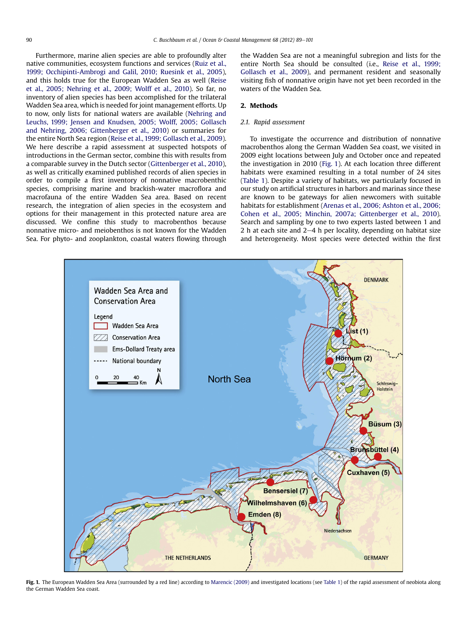<span id="page-1-0"></span>Furthermore, marine alien species are able to profoundly alter native communities, ecosystem functions and services ([Ruiz et al.,](#page-11-0) [1999; Occhipinti-Ambrogi and Galil, 2010; Ruesink et al., 2005\)](#page-11-0), and this holds true for the European Wadden Sea as well [\(Reise](#page-11-0) [et al., 2005; Nehring et al., 2009; Wolff et al., 2010](#page-11-0)). So far, no inventory of alien species has been accomplished for the trilateral Wadden Sea area, which is needed for joint management efforts. Up to now, only lists for national waters are available ([Nehring and](#page-11-0) [Leuchs, 1999; Jensen and Knudsen, 2005; Wolff, 2005; Gollasch](#page-11-0) [and Nehring, 2006; Gittenberger et al., 2010\)](#page-11-0) or summaries for the entire North Sea region ([Reise et al., 1999; Gollasch et al., 2009\)](#page-11-0). We here describe a rapid assessment at suspected hotspots of introductions in the German sector, combine this with results from a comparable survey in the Dutch sector ([Gittenberger et al., 2010\)](#page-10-0), as well as critically examined published records of alien species in order to compile a first inventory of nonnative macrobenthic species, comprising marine and brackish-water macroflora and macrofauna of the entire Wadden Sea area. Based on recent research, the integration of alien species in the ecosystem and options for their management in this protected nature area are discussed. We confine this study to macrobenthos because nonnative micro- and meiobenthos is not known for the Wadden Sea. For phyto- and zooplankton, coastal waters flowing through the Wadden Sea are not a meaningful subregion and lists for the entire North Sea should be consulted (i.e., [Reise et al., 1999;](#page-11-0) [Gollasch et al., 2009\)](#page-11-0), and permanent resident and seasonally visiting fish of nonnative origin have not yet been recorded in the waters of the Wadden Sea.

## 2. Methods

## 2.1. Rapid assessment

To investigate the occurrence and distribution of nonnative macrobenthos along the German Wadden Sea coast, we visited in 2009 eight locations between July and October once and repeated the investigation in 2010 (Fig. 1). At each location three different habitats were examined resulting in a total number of 24 sites ([Table 1](#page-2-0)). Despite a variety of habitats, we particularly focused in our study on artificial structures in harbors and marinas since these are known to be gateways for alien newcomers with suitable habitats for establishment [\(Arenas et al., 2006; Ashton et al., 2006;](#page-10-0) [Cohen et al., 2005; Minchin, 2007a; Gittenberger et al., 2010\)](#page-10-0). Search and sampling by one to two experts lasted between 1 and 2 h at each site and  $2-4$  h per locality, depending on habitat size and heterogeneity. Most species were detected within the first



Fig. 1. The European Wadden Sea Area (surrounded by a red line) according to [Marencic \(2009\)](#page-11-0) and investigated locations (see [Table 1](#page-2-0)) of the rapid assessment of neobiota along the German Wadden Sea coast.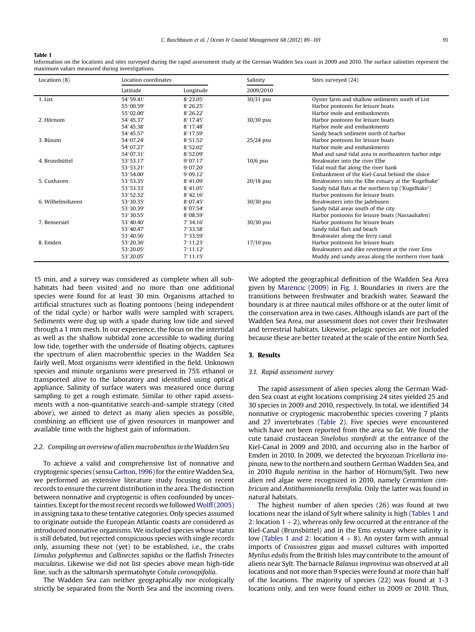<span id="page-2-0"></span>Information on the locations and sites surveyed during the rapid assessment study at the German Wadden Sea coast in 2009 and 2010. The surface salinities represent the maximum values measured during investigations.

| Locations (8)    | Location coordinates |                   | Salinity    | Sites surveyed (24)                                  |
|------------------|----------------------|-------------------|-------------|------------------------------------------------------|
|                  | Latitude             | Longitude         | 2009/2010   |                                                      |
| 1. List          | $54^{\circ}59.41'$   | $8^{\circ}23.05'$ | $30/31$ psu | Oyster farm and shallow sediments south of List      |
|                  | 55°00.59'            | 8°26.25'          |             | Harbor pontoons for leisure boats                    |
|                  | 55°02.00'            | 8°26.22'          |             | Harbor mole and embankments                          |
| 2. Hörnum        | $54^{\circ}45.37'$   | 8°17.45'          | $30/30$ psu | Harbor pontoons for leisure boats                    |
|                  | 54°45.38′            | $8^{\circ}17.48'$ |             | Harbor mole and embankments                          |
|                  | 54°45.57'            | $8^{\circ}17.59'$ |             | Sandy beach sediment north of harbor                 |
| 3. Büsum         | 54°07.24             | 8°51.52'          | $25/24$ psu | Harbor pontoons for leisure boats                    |
|                  | 54°07.27'            | 8°52.02'          |             | Harbor mole and embankments                          |
|                  | 54°07.31′            | 8°52.09'          |             | Mud and sand tidal area in northeastern harbor edge  |
| 4. Brunsbüttel   | 53°53.17'            | 9°07.17'          | $10/6$ psu  | Breakwater into the river Elbe                       |
|                  | 53°53.21'            | 9°07.20'          |             | Tidal mud flat along the river bank                  |
|                  | 53°54.00'            | 9°09.12'          |             | Embankment of the Kiel-Canal behind the sluice       |
| 5. Cuxhaven      | 53°53.35'            | $8^{\circ}41.09'$ | $20/18$ psu | Breakwaters into the Elbe estuary at the 'Kugelbake' |
|                  | 53°53.33'            | $8^{\circ}41.05'$ |             | Sandy tidal flats at the northern tip ('Kugelbake')  |
|                  | 53°52.32'            | $8^{\circ}42.16'$ |             | Harbor pontoons for leisure boats                    |
| 6. Wilhelmshaven | 53°30.35′            | $8^{\circ}07.45'$ | $30/30$ psu | Breakwaters into the Jadebusen                       |
|                  | 53°30.39'            | 8°07.54'          |             | Sandy tidal areas south of the city                  |
|                  | 53°30.55'            | $8^{\circ}08.59'$ |             | Harbor pontoons for leisure boats (Nassauhafen)      |
| 7. Bensersiel    | 53°40.40'            | 7°34.16'          | $30/30$ psu | Harbor pontoons for leisure boats                    |
|                  | 53°40.47'            | 7°33.58'          |             | Sandy tidal flats and beach                          |
|                  | 53°40.56'            | $7^{\circ}33.59'$ |             | Breakwater along the ferry canal                     |
| 8. Emden         | 53°20.36'            | 7°11.23'          | 17/10 psu   | Harbor pontoons for leisure boats                    |
|                  | 53°20.05'            | 7°11.12'          |             | Breakwaters and dike revetment at the river Ems      |
|                  | $53^{\circ}20.05'$   | 7°11.15'          |             | Muddy and sandy areas along the northern river bank  |

15 min, and a survey was considered as complete when all subhabitats had been visited and no more than one additional species were found for at least 30 min. Organisms attached to artificial structures such as floating pontoons (being independent of the tidal cycle) or harbor walls were sampled with scrapers. Sediments were dug up with a spade during low tide and sieved through a 1 mm mesh. In our experience, the focus on the intertidal as well as the shallow subtidal zone accessible to wading during low tide, together with the underside of floating objects, captures the spectrum of alien macrobenthic species in the Wadden Sea fairly well. Most organisms were identified in the field. Unknown species and minute organisms were preserved in 75% ethanol or transported alive to the laboratory and identified using optical appliance. Salinity of surface waters was measured once during sampling to get a rough estimate. Similar to other rapid assessments with a non-quantitative search-and-sample strategy (cited above), we aimed to detect as many alien species as possible, combining an efficient use of given resources in manpower and available time with the highest gain of information.

## 2.2. Compiling an overview of alien macrobenthos in the Wadden Sea

To achieve a valid and comprehensive list of nonnative and cryptogenic species (sensu [Carlton, 1996](#page-10-0)) for the entire Wadden Sea, we performed an extensive literature study focusing on recent records to ensure the current distribution in the area. The distinction between nonnative and cryptogenic is often confounded by uncer-tainties. Except for the most recent records we followed [Wolff \(2005\)](#page-12-0) in assigning taxa to these tentative categories. Only species assumed to originate outside the European Atlantic coasts are considered as introduced nonnative organisms. We included species whose status is still debated, but rejected conspicuous species with single records only, assuming these not (yet) to be established, i.e., the crabs Limulus polyphemus and Callinectes sapidus or the flatfish Trinectes maculatus. Likewise we did not list species above mean high-tide line, such as the saltmarsh spermatohyte Cotula coronopifolia.

The Wadden Sea can neither geographically nor ecologically strictly be separated from the North Sea and the incoming rivers. We adopted the geographical definition of the Wadden Sea Area given by [Marencic \(2009\)](#page-11-0) in [Fig. 1.](#page-1-0) Boundaries in rivers are the transitions between freshwater and brackish water. Seaward the boundary is at three nautical miles offshore or at the outer limit of the conservation area in two cases. Although islands are part of the Wadden Sea Area, our assessment does not cover their freshwater and terrestrial habitats. Likewise, pelagic species are not included because these are better treated at the scale of the entire North Sea.

#### 3. Results

## 3.1. Rapid assessment survey

The rapid assessment of alien species along the German Wadden Sea coast at eight locations comprising 24 sites yielded 25 and 30 species in 2009 and 2010, respectively. In total, we identified 34 nonnative or cryptogenic macrobenthic species covering 7 plants and 27 invertebrates [\(Table 2\)](#page-3-0). Five species were encountered which have not been reported from the area so far. We found the cute tanaid crustacean Sinelobus stanfordi at the entrance of the Kiel-Canal in 2009 and 2010, and occurring also in the harbor of Emden in 2010. In 2009, we detected the bryozoan Tricellaria inopinata, new to the northern and southern German Wadden Sea, and in 2010 Bugula neritina in the harbor of Hörnum/Sylt. Two new alien red algae were recognized in 2010, namely Ceramium cimbricum and Antithamnionella ternifolia. Only the latter was found in natural habitats.

The highest number of alien species (26) was found at two locations near the island of Sylt where salinity is high [\(Tables 1 and](#page-3-0) [2](#page-3-0): location  $1 + 2$ ), whereas only few occurred at the entrance of the Kiel-Canal (Brunsbüttel) and in the Ems estuary where salinity is low ([Tables 1 and 2](#page-3-0): location  $4 + 8$ ). An oyster farm with annual imports of Crassostrea gigas and mussel cultures with imported Mytilus edulis from the British Isles may contribute to the amount of aliens near Sylt. The barnacle Balanus improvisus was observed at all locations and not more than 9 species were found at more than half of the locations. The majority of species (22) was found at 1-3 locations only, and ten were found either in 2009 or 2010. Thus,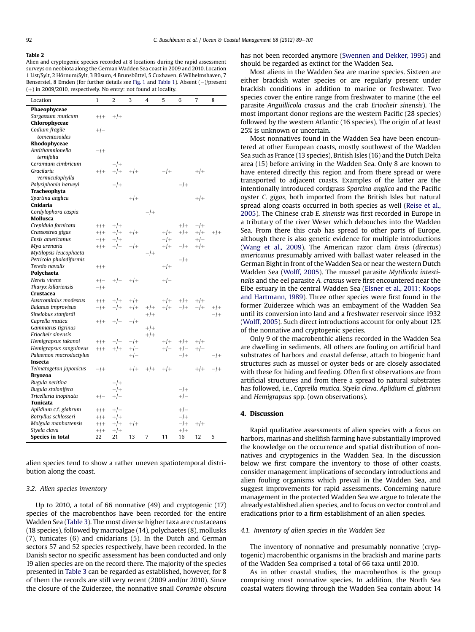<span id="page-3-0"></span>Alien and cryptogenic species recorded at 8 locations during the rapid assessment surveys on neobiota along the German Wadden Sea coast in 2009 and 2010. Location 1 List/Sylt, 2 Hörnum/Sylt, 3 Büsum, 4 Brunsbüttel, 5 Cuxhaven, 6 Wilhelmshaven, 7 Bensersiel, 8 Emden (for further details see [Fig. 1](#page-1-0) and [Table 1\)](#page-2-0). Absent  $(-)/$ present  $(+)$  in 2009/2010, respectively. No entry: not found at locality.

| Phaeophyceae<br>Sargassum muticum<br>$+/-$<br>$+/-$<br>Chlorophyceae<br>Codium fragile<br>$+/-$<br>tomentosoides<br>Rhodophyceae<br>Antithamnionella<br>$-1$ +<br>ternifolia<br>Ceramium cimbricum<br>$-l+$<br>$+/- +$ +/+<br>Gracilaria<br>$+/-$<br>$-1$<br>$+/-$<br>vermiculophylla |  |
|---------------------------------------------------------------------------------------------------------------------------------------------------------------------------------------------------------------------------------------------------------------------------------------|--|
|                                                                                                                                                                                                                                                                                       |  |
|                                                                                                                                                                                                                                                                                       |  |
|                                                                                                                                                                                                                                                                                       |  |
|                                                                                                                                                                                                                                                                                       |  |
|                                                                                                                                                                                                                                                                                       |  |
|                                                                                                                                                                                                                                                                                       |  |
|                                                                                                                                                                                                                                                                                       |  |
|                                                                                                                                                                                                                                                                                       |  |
|                                                                                                                                                                                                                                                                                       |  |
|                                                                                                                                                                                                                                                                                       |  |
|                                                                                                                                                                                                                                                                                       |  |
| $-1$ +<br>Polysiphonia harveyi<br>$-l+$                                                                                                                                                                                                                                               |  |
| Tracheophyta                                                                                                                                                                                                                                                                          |  |
| Spartina anglica<br>$+/-$<br>$+$ /+                                                                                                                                                                                                                                                   |  |
| Cnidaria                                                                                                                                                                                                                                                                              |  |
| Cordylophora caspia<br>$-1$ +                                                                                                                                                                                                                                                         |  |
| Mollusca                                                                                                                                                                                                                                                                              |  |
| Crepidula fornicata<br>$+/-$<br>$+/-$<br>$-$ /+<br>$+/-$                                                                                                                                                                                                                              |  |
| $+/- +$ $+/- +$ $+/- +$<br>Crassostrea gigas<br>$+/-$<br>$+/-$<br>$+/-$<br>$+/-$                                                                                                                                                                                                      |  |
| Ensis americanus<br>$+/-$<br>$-1$ +<br>$-$ /+<br>$+/-$<br>$-1$<br>$+/-$<br>+/- -/+                                                                                                                                                                                                    |  |
| $+/-$<br>Mya arenaria<br>$+$ /+<br>$+/-$                                                                                                                                                                                                                                              |  |
| $-1$ +<br>Mytilopsis leucophaeta                                                                                                                                                                                                                                                      |  |
| Petricola pholadiformis<br>$-1$ +                                                                                                                                                                                                                                                     |  |
| $+$ /+<br>Teredo navalis<br>$+$ /+                                                                                                                                                                                                                                                    |  |
| Polychaeta                                                                                                                                                                                                                                                                            |  |
| Nereis virens<br>$+/-$<br>$+/-$<br>$+/- +$                                                                                                                                                                                                                                            |  |
| Tharyx killariensis<br>$-1$ +                                                                                                                                                                                                                                                         |  |
| Crustacea                                                                                                                                                                                                                                                                             |  |
| $+/-$<br>Austrominius modestus<br>$+/-$<br>$+/-$<br>$+/- +$ $+/-$<br>$+/-$                                                                                                                                                                                                            |  |
| $-/+$ +/+ +/+ +/+ -/+<br><b>Balanus improvisus</b><br>$-1$ +<br>$-$ /+<br>$+/-$                                                                                                                                                                                                       |  |
| Sinelobus stanfordi<br>$+$ /+<br>$-l+$                                                                                                                                                                                                                                                |  |
| $+/- -/-$<br>Caprella mutica<br>$+/-$                                                                                                                                                                                                                                                 |  |
| $+/-$<br>Gammarus tigrinus<br>Eriocheir sinensis                                                                                                                                                                                                                                      |  |
| $+/-$<br>$+/ -/ -/-$<br>Hemigrapsus takanoi<br>$+/- +$ $+/- +$ $+/-$                                                                                                                                                                                                                  |  |
| Hemigrapsus sanguineus<br>$+/-$<br>$+/- +$ +/-<br>$+/-$<br>$+/-$<br>$+/-$                                                                                                                                                                                                             |  |
| $+/-$<br>$-$ /+<br>$-1+$<br>Palaemon macrodactylus                                                                                                                                                                                                                                    |  |
| Insecta                                                                                                                                                                                                                                                                               |  |
| $+/- +$ $+/- +$ $+/-$<br>$+/- -/-$<br>$-1$ +<br>Telmatogeton japonicus                                                                                                                                                                                                                |  |
| <b>Bryozoa</b>                                                                                                                                                                                                                                                                        |  |
| Bugula neritina<br>$-l+$                                                                                                                                                                                                                                                              |  |
| Bugula stolonifera<br>$-1$ +<br>$-1$                                                                                                                                                                                                                                                  |  |
| Tricellaria inopinata<br>$+/-$<br>$+/-$<br>$+/-$                                                                                                                                                                                                                                      |  |
| Tunicata                                                                                                                                                                                                                                                                              |  |
| Aplidium c.f. glabrum<br>$+/-$<br>$+/-$<br>$+/-$                                                                                                                                                                                                                                      |  |
| Botryllus schlosseri<br>$+/-$<br>$+$ /+<br>$-$ /+                                                                                                                                                                                                                                     |  |
| Molgula manhattensis<br>$+/-$<br>$+/-$<br>$-1$ +<br>$+/-$<br>$+/-$                                                                                                                                                                                                                    |  |
| Styela clava<br>$+$ /+<br>$+$ /+<br>$+$ /+                                                                                                                                                                                                                                            |  |
| Species in total<br>13<br>7<br>11<br>5<br>22<br>21<br>16<br>12                                                                                                                                                                                                                        |  |

alien species tend to show a rather uneven spatiotemporal distribution along the coast.

## 3.2. Alien species inventory

Up to 2010, a total of 66 nonnative (49) and cryptogenic (17) species of the macrobenthos have been recorded for the entire Wadden Sea ([Table 3](#page-4-0)). The most diverse higher taxa are crustaceans (18 species), followed by macroalgae (14), polychaetes (8), mollusks (7), tunicates (6) and cnidarians (5). In the Dutch and German sectors 57 and 52 species respectively, have been recorded. In the Danish sector no specific assessment has been conducted and only 19 alien species are on the record there. The majority of the species presented in [Table 3](#page-4-0) can be regarded as established, however, for 8 of them the records are still very recent (2009 and/or 2010). Since the closure of the Zuiderzee, the nonnative snail Corambe obscura has not been recorded anymore [\(Swennen and Dekker, 1995\)](#page-11-0) and should be regarded as extinct for the Wadden Sea.

Most aliens in the Wadden Sea are marine species. Sixteen are either brackish water species or are regularly present under brackish conditions in addition to marine or freshwater. Two species cover the entire range from freshwater to marine (the eel parasite Anguillicola crassus and the crab Eriocheir sinensis). The most important donor regions are the western Pacific (28 species) followed by the western Atlantic (16 species). The origin of at least 25% is unknown or uncertain.

Most nonnatives found in the Wadden Sea have been encountered at other European coasts, mostly southwest of the Wadden Sea such as France (13 species), British Isles (16) and the Dutch Delta area (15) before arriving in the Wadden Sea. Only 8 are known to have entered directly this region and from there spread or were transported to adjacent coasts. Examples of the latter are the intentionally introduced cordgrass Spartina anglica and the Pacific oyster C. gigas, both imported from the British Isles but natural spread along coasts occurred in both species as well ([Reise et al.,](#page-11-0) [2005](#page-11-0)). The Chinese crab E. sinensis was first recorded in Europe in a tributary of the river Weser which debouches into the Wadden Sea. From there this crab has spread to other parts of Europe, although there is also genetic evidence for multiple introductions ([Wang et al., 2009](#page-11-0)). The American razor clam Ensis (directus) americanus presumably arrived with ballast water released in the German Bight in front of the Wadden Sea or near the western Dutch Wadden Sea [\(Wolff, 2005](#page-12-0)). The mussel parasite Mytilicola intestinalis and the eel parasite A. crassus were first encountered near the Elbe estuary in the central Wadden Sea ([Elsner et al., 2011; Koops](#page-10-0) [and Hartmann, 1989](#page-10-0)). Three other species were first found in the former Zuiderzee which was an embayment of the Wadden Sea until its conversion into land and a freshwater reservoir since 1932 ([Wolff, 2005\)](#page-12-0). Such direct introductions account for only about 12% of the nonnative and cryptogenic species.

Only 9 of the macrobenthic aliens recorded in the Wadden Sea are dwelling in sediments. All others are fouling on artificial hard substrates of harbors and coastal defense, attach to biogenic hard structures such as mussel or oyster beds or are closely associated with these for hiding and feeding. Often first observations are from artificial structures and from there a spread to natural substrates has followed, i.e., Caprella mutica, Styela clava, Aplidium cf. glabrum and Hemigrapsus spp. (own observations).

## 4. Discussion

Rapid qualitative assessments of alien species with a focus on harbors, marinas and shellfish farming have substantially improved the knowledge on the occurrence and spatial distribution of nonnatives and cryptogenics in the Wadden Sea. In the discussion below we first compare the inventory to those of other coasts, consider management implications of secondary introductions and alien fouling organisms which prevail in the Wadden Sea, and suggest improvements for rapid assessments. Concerning nature management in the protected Wadden Sea we argue to tolerate the already established alien species, and to focus on vector control and eradications prior to a firm establishment of an alien species.

#### 4.1. Inventory of alien species in the Wadden Sea

The inventory of nonnative and presumably nonnative (cryptogenic) macrobenthic organisms in the brackish and marine parts of the Wadden Sea comprised a total of 66 taxa until 2010.

As in other coastal studies, the macrobenthos is the group comprising most nonnative species. In addition, the North Sea coastal waters flowing through the Wadden Sea contain about 14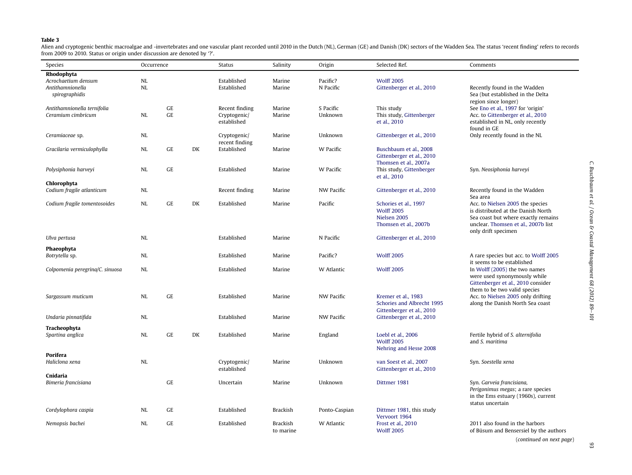<span id="page-4-0"></span> Alien and cryptogenic benthic macroalgae and -invertebrates and one vascular plant recorded until 2010 in the Dutch (NL), German (GE) and Danish (DK) sectors of the Wadden Sea. The status 'recent finding' refers to records from 2009 to 2010. Status or origin under discussion are denoted by '?'.

| Species                                                                 | Occurrence          |           |    | Status                                        | Salinity                     | Origin                | Selected Ref.                                                                       | Comments                                                                                                                                                                    |
|-------------------------------------------------------------------------|---------------------|-----------|----|-----------------------------------------------|------------------------------|-----------------------|-------------------------------------------------------------------------------------|-----------------------------------------------------------------------------------------------------------------------------------------------------------------------------|
| Rhodophyta<br>Acrochaetium densum<br>Antithamnionella<br>spirographidis | NL<br>$\mathbf{NL}$ |           |    | Established<br>Established                    | Marine<br>Marine             | Pacific?<br>N Pacific | <b>Wolff 2005</b><br>Gittenberger et al., 2010                                      | Recently found in the Wadden<br>Sea (but established in the Delta<br>region since longer)                                                                                   |
| Antithamnionella ternifolia<br>Ceramium cimbricum                       | <b>NL</b>           | GE<br>GE  |    | Recent finding<br>Cryptogenic/<br>established | Marine<br>Marine             | S Pacific<br>Unknown  | This study<br>This study, Gittenberger<br>et al., 2010                              | See Eno et al., 1997 for 'origin'<br>Acc. to Gittenberger et al., 2010<br>established in NL, only recently<br>found in GE                                                   |
| Ceramiaceae sp.                                                         | NL                  |           |    | Cryptogenic/<br>recent finding                | Marine                       | Unknown               | Gittenberger et al., 2010                                                           | Only recently found in the NL                                                                                                                                               |
| Gracilaria vermiculophylla                                              | NL                  | GE        | DK | Established                                   | Marine                       | W Pacific             | Buschbaum et al., 2008<br>Gittenberger et al., 2010<br>Thomsen et al., 2007a        |                                                                                                                                                                             |
| Polysiphonia harveyi                                                    | NL                  | GE        |    | Established                                   | Marine                       | W Pacific             | This study, Gittenberger<br>et al., 2010                                            | Syn. Neosiphonia harveyi                                                                                                                                                    |
| Chlorophyta<br>Codium fragile atlanticum                                | NL                  |           |    | Recent finding                                | Marine                       | NW Pacific            | Gittenberger et al., 2010                                                           | Recently found in the Wadden<br>Sea area                                                                                                                                    |
| Codium fragile tomentosoides                                            | NL                  | GE        | DK | Established                                   | Marine                       | Pacific               | Schories et al., 1997<br><b>Wolff 2005</b><br>Nielsen 2005<br>Thomsen et al., 2007b | Acc. to Nielsen 2005 the species<br>is distributed at the Danish North<br>Sea coast but where exactly remains<br>unclear. Thomsen et al., 2007b list<br>only drift specimen |
| Ulva pertusa                                                            | NL                  |           |    | Established                                   | Marine                       | N Pacific             | Gittenberger et al., 2010                                                           |                                                                                                                                                                             |
| Phaeophyta<br>Botrytella sp.                                            | NL                  |           |    | Established                                   | Marine                       | Pacific?              | <b>Wolff 2005</b>                                                                   | A rare species but acc. to Wolff 2005<br>it seems to be established                                                                                                         |
| Colpomenia peregrina/C. sinuosa                                         | NL                  |           |    | Established                                   | Marine                       | W Atlantic            | <b>Wolff 2005</b>                                                                   | In Wolff (2005) the two names<br>were used synonymously while<br>Gittenberger et al., 2010 consider<br>them to be two valid species                                         |
| Sargassum muticum                                                       | NL                  | GE        |    | Established                                   | Marine                       | NW Pacific            | Kremer et al., 1983<br>Schories and Albrecht 1995<br>Gittenberger et al., 2010      | Acc. to Nielsen 2005 only drifting<br>along the Danish North Sea coast                                                                                                      |
| Undaria pinnatifida                                                     | NL                  |           |    | Established                                   | Marine                       | NW Pacific            | Gittenberger et al., 2010                                                           |                                                                                                                                                                             |
| Tracheophyta<br>Spartina anglica                                        | NL                  | <b>GE</b> | DK | Established                                   | Marine                       | England               | Loebl et al., 2006<br><b>Wolff 2005</b><br>Nehring and Hesse 2008                   | Fertile hybrid of S. alternifolia<br>and S. maritima                                                                                                                        |
| Porifera<br>Haliclona xena                                              | NL                  |           |    | Cryptogenic/<br>established                   | Marine                       | Unknown               | van Soest et al., 2007<br>Gittenberger et al., 2010                                 | Syn. Soestella xena                                                                                                                                                         |
| Cnidaria<br>Bimeria francisiana                                         |                     | GE        |    | Uncertain                                     | Marine                       | Unknown               | Dittmer 1981                                                                        | Syn. Garveia francisiana,<br>Perigonimus megas; a rare species<br>in the Ems estuary (1960s), current<br>status uncertain                                                   |
| Cordylophora caspia                                                     | NL                  | GE        |    | Established                                   | <b>Brackish</b>              | Ponto-Caspian         | Dittmer 1981, this study<br>Vervoort 1964                                           |                                                                                                                                                                             |
| Nemopsis bachei                                                         | <b>NL</b>           | GE        |    | Established                                   | <b>Brackish</b><br>to marine | W Atlantic            | Frost et al., 2010<br><b>Wolff 2005</b>                                             | 2011 also found in the harbors<br>of Büsum and Bensersiel by the authors<br>(continued on next page)                                                                        |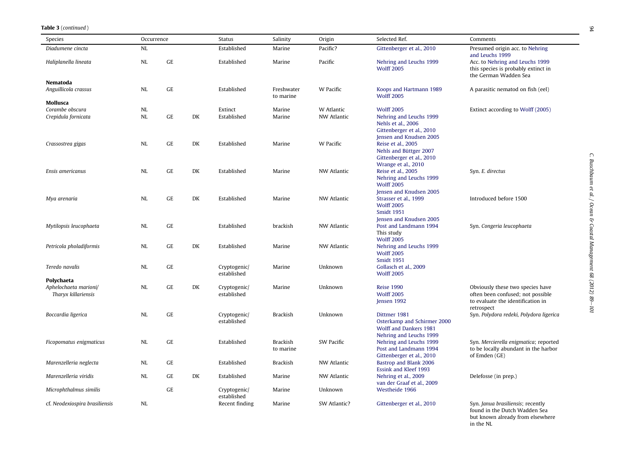#### **Table 3** (continued )

| Species                                                    | Occurrence      |                                             |    | Status                      | Salinity                | Origin                    | Selected Ref.                                                                                                              | Comments                                                                                                                 |
|------------------------------------------------------------|-----------------|---------------------------------------------|----|-----------------------------|-------------------------|---------------------------|----------------------------------------------------------------------------------------------------------------------------|--------------------------------------------------------------------------------------------------------------------------|
| Diadumene cincta                                           | NL              |                                             |    | Established                 | Marine                  | Pacific?                  | Gittenberger et al., 2010                                                                                                  | Presumed origin acc. to Nehring                                                                                          |
| Haliplanella lineata                                       | $\rm NL$        | $\mathsf{GE}$                               |    | Established                 | Marine                  | Pacific                   | Nehring and Leuchs 1999<br><b>Wolff 2005</b>                                                                               | and Leuchs 1999<br>Acc. to Nehring and Leuchs 1999<br>this species is probably extinct in<br>the German Wadden Sea       |
| Nematoda<br>Anguillicola crassus                           | NL              | $\mathsf{GE}% _{\mathsf{CE}}$               |    | Established                 | Freshwater<br>to marine | W Pacific                 | Koops and Hartmann 1989<br><b>Wolff 2005</b>                                                                               | A parasitic nematod on fish (eel)                                                                                        |
| Mollusca<br>Corambe obscura<br>Crepidula fornicata         | NL<br><b>NL</b> | $\mathsf{GE}% _{\mathsf{CE}}$               | DK | Extinct<br>Established      | Marine<br>Marine        | W Atlantic<br>NW Atlantic | <b>Wolff 2005</b><br>Nehring and Leuchs 1999<br>Nehls et al., 2006<br>Gittenberger et al., 2010<br>Jensen and Knudsen 2005 | Extinct according to Wolff (2005)                                                                                        |
| Crassostrea gigas                                          | NL              | $\mathsf{GE}% _{\mathsf{CE}}^{\mathsf{CE}}$ | DK | Established                 | Marine                  | W Pacific                 | Reise et al., 2005<br>Nehls and Büttger 2007<br>Gittenberger et al., 2010<br>Wrange et al., 2010                           |                                                                                                                          |
| Ensis americanus                                           | NL              | GE                                          | DK | Established                 | Marine                  | NW Atlantic               | Reise et al., 2005<br>Nehring and Leuchs 1999<br><b>Wolff 2005</b>                                                         | Syn. E. directus                                                                                                         |
| Mya arenaria                                               | NL              | $\mathsf{GE}$                               | DK | Established                 | Marine                  | NW Atlantic               | Jensen and Knudsen 2005<br>Strasser et al., 1999<br><b>Wolff 2005</b><br><b>Smidt 1951</b><br>Jensen and Knudsen 2005      | Introduced before 1500                                                                                                   |
| Mytilopsis leucophaeta                                     | NL              | GE                                          |    | Established                 | brackish                | NW Atlantic               | Post and Landmann 1994<br>This study<br><b>Wolff 2005</b>                                                                  | Syn. Congeria leucophaeta                                                                                                |
| Petricola pholadiformis                                    | NL              | GE                                          | DK | Established                 | Marine                  | NW Atlantic               | Nehring and Leuchs 1999<br><b>Wolff 2005</b><br><b>Smidt 1951</b>                                                          |                                                                                                                          |
| Teredo navalis                                             | NL              | $\mathsf{GE}% _{\mathsf{CE}}^{\mathsf{CE}}$ |    | Cryptogenic/<br>established | Marine                  | Unknown                   | Gollasch et al., 2009<br><b>Wolff 2005</b>                                                                                 |                                                                                                                          |
| Polychaeta<br>Aphelochaeta marioni/<br>Tharyx killariensis | NL              | GE                                          | DK | Cryptogenic/<br>established | Marine                  | Unknown                   | <b>Reise 1990</b><br><b>Wolff 2005</b><br>Jensen 1992                                                                      | Obviously these two species have<br>often been confused; not possible<br>to evaluate the identification in<br>retrospect |
| Boccardia ligerica                                         | NL              | GE                                          |    | Cryptogenic/<br>established | <b>Brackish</b>         | Unknown                   | Dittmer 1981<br>Osterkamp and Schirmer 2000<br><b>Wolff and Dankers 1981</b><br>Nehring and Leuchs 1999                    | Syn. Polydora redeki, Polydora ligerica                                                                                  |
| Ficopomatus enigmaticus                                    | NL              | GE                                          |    | Established                 | Brackish<br>to marine   | SW Pacific                | Nehring and Leuchs 1999<br>Post and Landmann 1994<br>Gittenberger et al., 2010                                             | Syn. Mercierella enigmatica; reported<br>to be locally abundant in the harbor<br>of Emden (GE)                           |
| Marenzelleria neglecta                                     | NL              | GE                                          |    | Established                 | <b>Brackish</b>         | NW Atlantic               | Bastrop and Blank 2006<br>Essink and Kleef 1993                                                                            |                                                                                                                          |
| Marenzelleria viridis                                      | <b>NL</b>       | GE                                          | DK | Established                 | Marine                  | <b>NW Atlantic</b>        | Nehring et al., 2009<br>van der Graaf et al., 2009                                                                         | Delefosse (in prep.)                                                                                                     |
| Microphthalmus similis                                     |                 | GE                                          |    | Cryptogenic/<br>established | Marine                  | Unknown                   | Westheide 1966                                                                                                             |                                                                                                                          |
| cf. Neodexiospira brasiliensis                             | NL              |                                             |    | Recent finding              | Marine                  | SW Atlantic?              | Gittenberger et al., 2010                                                                                                  | Syn. Janua brasiliensis; recently<br>found in the Dutch Wadden Sea<br>but known already from elsewhere<br>in the NL      |

94 September 2012) 89–101 (Buschbaum et al. / Ocean & Coastal Management 68 (2012) 89–101 C. Buschbaum et al. / Ocean & Coastal Management 68 (2012) 89-101 C. Buschbaum et al. / Ocean & Coastal Management 68 (2012) 89

 $\mathfrak{A}$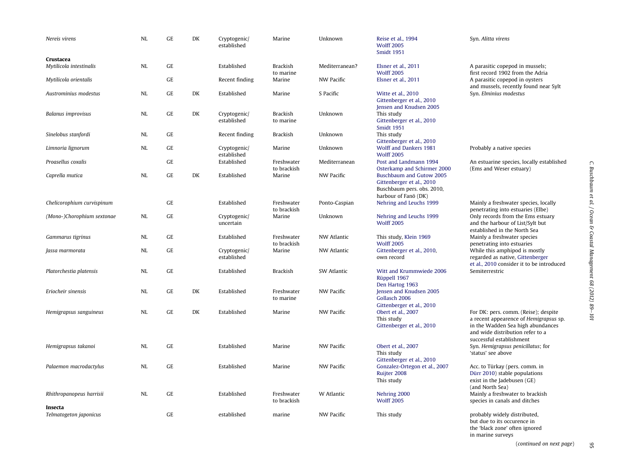| Nereis virens                        | $\rm NL$ | $\mathsf{GE}$                               | DK | Cryptogenic/<br>established | Marine                       | Unknown        | Reise et al., 1994<br><b>Wolff 2005</b><br><b>Smidt 1951</b>                                                       | Syn. Alitta virens                                                                                                                                                                  |
|--------------------------------------|----------|---------------------------------------------|----|-----------------------------|------------------------------|----------------|--------------------------------------------------------------------------------------------------------------------|-------------------------------------------------------------------------------------------------------------------------------------------------------------------------------------|
| Crustacea<br>Mytilicola intestinalis | NL       | GE                                          |    | Established                 | <b>Brackish</b><br>to marine | Mediterranean? | Elsner et al., 2011<br><b>Wolff 2005</b>                                                                           | A parasitic copepod in mussels;<br>first record 1902 from the Adria                                                                                                                 |
| Mytilicola orientalis                |          | GE                                          |    | Recent finding              | Marine                       | NW Pacific     | Elsner et al., 2011                                                                                                | A parasitic copepod in oysters<br>and mussels, recently found near Sylt                                                                                                             |
| Austrominius modestus                | NL       | $\mathsf{GE}% _{\mathsf{CE}}^{\mathsf{CE}}$ | DK | Established                 | Marine                       | S Pacific      | Witte et al., 2010<br>Gittenberger et al., 2010<br>Jensen and Knudsen 2005                                         | Syn. Elminius modestus                                                                                                                                                              |
| <b>Balanus improvisus</b>            | NL       | <b>GE</b>                                   | DK | Cryptogenic/<br>established | <b>Brackish</b><br>to marine | Unknown        | This study<br>Gittenberger et al., 2010<br><b>Smidt 1951</b>                                                       |                                                                                                                                                                                     |
| Sinelobus stanfordi                  | NL       | GE                                          |    | Recent finding              | <b>Brackish</b>              | Unknown        | This study<br>Gittenberger et al., 2010                                                                            |                                                                                                                                                                                     |
| Limnoria lignorum                    | NL       | $\mathsf{GE}$                               |    | Cryptogenic/<br>established | Marine                       | Unknown        | Wolff and Dankers 1981<br><b>Wolff 2005</b>                                                                        | Probably a native species                                                                                                                                                           |
| Proasellus coxalis                   |          | GE                                          |    | Established                 | Freshwater<br>to brackish    | Mediterranean  | Post and Landmann 1994<br>Osterkamp and Schirmer 2000                                                              | An estuarine species, locally established<br>(Ems and Weser estuary)                                                                                                                |
| Caprella mutica                      | NL       | GE                                          | DK | Established                 | Marine                       | NW Pacific     | <b>Buschbaum and Gutow 2005</b><br>Gittenberger et al., 2010<br>Buschbaum pers. obs. 2010,<br>harbour of Fanö (DK) |                                                                                                                                                                                     |
| Chelicorophium curvispinum           |          | <b>GE</b>                                   |    | Established                 | Freshwater<br>to brackish    | Ponto-Caspian  | Nehring and Leuchs 1999                                                                                            | Mainly a freshwater species, locally<br>penetrating into estuaries (Elbe)                                                                                                           |
| (Mono-)Chorophium sextonae           | NL       | $\mathsf{GE}% _{\mathsf{CE}}^{\mathsf{CE}}$ |    | Cryptogenic/<br>uncertain   | Marine                       | Unknown        | Nehring and Leuchs 1999<br><b>Wolff 2005</b>                                                                       | Only records from the Ems estuary<br>and the harbour of List/Sylt but<br>established in the North Sea                                                                               |
| Gammarus tigrinus                    | NL       | GE                                          |    | Established                 | Freshwater<br>to brackish    | NW Atlantic    | This study, Klein 1969<br><b>Wolff 2005</b>                                                                        | Mainly a freshwater species<br>penetrating into estuaries                                                                                                                           |
| Jassa marmorata                      | NL       | GE                                          |    | Cryptogenic/<br>established | Marine                       | NW Atlantic    | Gittenberger et al., 2010,<br>own record                                                                           | While this amphipod is mostly<br>regarded as native, Gittenberger<br>et al., 2010 consider it to be introduced                                                                      |
| Platorchestia platensis              | NL       | GE                                          |    | Established                 | <b>Brackish</b>              | SW Atlantic    | Witt and Krummwiede 2006<br>Rüppell 1967<br>Den Hartog 1963                                                        | Semiterrestric                                                                                                                                                                      |
| Eriocheir sinensis                   | $\rm NL$ | $\mathsf{GE}$                               | DK | Established                 | Freshwater<br>to marine      | NW Pacific     | Jensen and Knudsen 2005<br>Gollasch 2006<br>Gittenberger et al., 2010                                              |                                                                                                                                                                                     |
| Hemigrapsus sanguineus               | NL       | GE                                          | DK | Established                 | Marine                       | NW Pacific     | Obert et al., 2007<br>This study<br>Gittenberger et al., 2010                                                      | For DK: pers. comm. (Reise); despite<br>a recent appearence of Hemigrapsus sp.<br>in the Wadden Sea high abundances<br>and wide distribution refer to a<br>successful establishment |
| Hemigrapsus takanoi                  | NL       | GE                                          |    | Established                 | Marine                       | NW Pacific     | Obert et al., 2007<br>This study<br>Gittenberger et al., 2010                                                      | Syn. Hemigrapsus penicillatus; for<br>'status' see above                                                                                                                            |
| Palaemon macrodactylus               | NL       | $\mathsf{GE}% _{\mathsf{CE}}^{\mathsf{CE}}$ |    | Established                 | Marine                       | NW Pacific     | Gonzalez-Ortegon et al., 2007<br>Ruijter 2008<br>This study                                                        | Acc. to Türkay (pers. comm. in<br>Dürr 2010) stable populations<br>exist in the Jadebusen (GE)<br>(and North Sea)                                                                   |
| Rhithropanopeus harrisii             | NL       | GE                                          |    | Established                 | Freshwater<br>to brackish    | W Atlantic     | Nehring 2000<br><b>Wolff 2005</b>                                                                                  | Mainly a freshwater to brackish<br>species in canals and ditches                                                                                                                    |
| Insecta<br>Telmatogeton japonicus    |          | GE                                          |    | established                 | marine                       | NW Pacific     | This study                                                                                                         | probably widely distributed,<br>but due to its occurence in<br>the 'black zone' often ignored                                                                                       |

in marine surveys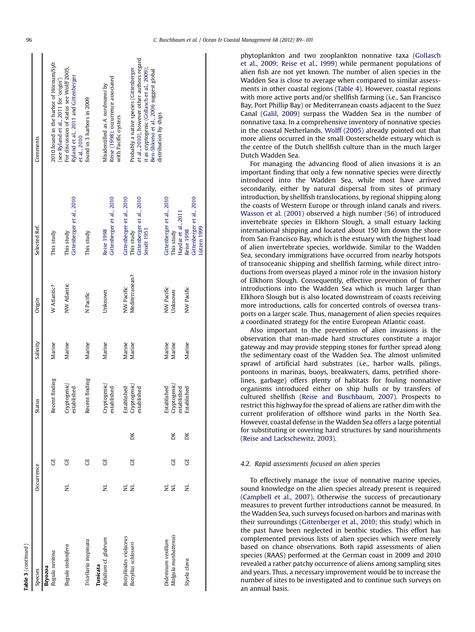| Table 3 (continued)               |                |   |    |                             |          |                |                                          |                                                                 |
|-----------------------------------|----------------|---|----|-----------------------------|----------|----------------|------------------------------------------|-----------------------------------------------------------------|
| Species                           | Occurrence     |   |    | Status                      | Salinity | Origin         | Selected Ref.                            | Comments                                                        |
| <b>Bugula</b> neritina<br>Bryozoa |                | 5 |    | Recent finding              | Marine   | W Atlantic?    | This study                               | 2010 found in the harbor of Hörnum/Sylt                         |
|                                   |                |   |    |                             |          |                |                                          | (see Ryland et al., 2011 for 'origin')                          |
| Bugula stolonifera                | ž              | ₩ |    | Cryptogenic/                | Marine   | NW Atlantic    | This study                               | For discussion of status see Wolff 2005,                        |
|                                   |                |   |    | established                 |          |                | Gittenberger et al., 2010                | Ryland et al., 2011 and Gittenberger<br>et al., 2010            |
| Tricellaria inopinata             |                | 5 |    | Recent finding              | Marine   | N Pacific      | This study                               | found in 3 harbors in 2009                                      |
| Tunicata                          |                |   |    |                             |          |                |                                          |                                                                 |
| Aplidium cf. glabrum              | 2              | ₩ |    | Cryptogenic/                | Marine   | Unknown        | <b>Reise 1998</b>                        | Misidentified as A. nordmanni by                                |
|                                   |                |   |    | established                 |          |                | Gittenberger et al., 2010                | Reise (1998); occurrence associated<br>with Pacific oysters     |
| <b>Botrylloides</b> violaceus     | ž              |   |    |                             | Marine   | NW Pacific     | Gittenberger et al., 2010                |                                                                 |
| Botryllus schlosseri              | $\Xi$          | 5 | DК | Established<br>Cryptogenic/ | Marine   | Mediterranean? | This study                               | Probably a native species (Gittenberger                         |
|                                   |                |   |    | established                 |          |                | Gittenberger et al., 2010                | et al., 2010), however other authors regard                     |
|                                   |                |   |    |                             |          |                | <b>Smidt 1951</b>                        | it as cryptogenic (Gollasch et al., 2009);                      |
|                                   |                |   |    |                             |          |                |                                          | Ben-Shlomo et al., 2006 suggest global<br>distribution by ships |
| Didemnum vexillum                 | ž              |   |    |                             | Marine   | NW Pacific     | Gittenberger et al., 2010                |                                                                 |
| Molgula manhattensis              | $\overline{z}$ | 5 | DK | Established<br>Cryptogenic/ | Marine   | Unknown        | This study                               |                                                                 |
|                                   |                |   |    | established<br>Established  |          |                | Haydar et al., 2011                      |                                                                 |
| Styela clava                      | ž              | 5 | DK |                             | Marine   | NW Pacific     | Reise 1998                               |                                                                 |
|                                   |                |   |    |                             |          |                | Gittenberger et al., 2010<br>Lützen 1999 |                                                                 |

phytoplankton and two zooplankton nonnative taxa ([Gollasch](#page-10-0) [et al., 2009; Reise et al., 1999\)](#page-10-0) while permanent populations of alien fish are not yet known. The number of alien species in the Wadden Sea is close to average when compared to similar assessments in other coastal regions [\(Table 4\)](#page-8-0). However, coastal regions with more active ports and/or shellfish farming (i.e., San Francisco Bay, Port Phillip Bay) or Mediterranean coasts adjacent to the Suez Canal ([Galil, 2009\)](#page-10-0) surpass the Wadden Sea in the number of nonnative taxa. In a comprehensive inventory of nonnative species in the coastal Netherlands, [Wolff \(2005\)](#page-12-0) already pointed out that more aliens occurred in the small Oosterschelde estuary which is the centre of the Dutch shellfish culture than in the much larger Dutch Wadden Sea.

For managing the advancing flood of alien invasions it is an important finding that only a few nonnative species were directly introduced into the Wadden Sea, while most have arrived secondarily, either by natural dispersal from sites of primary introduction, by shellfish translocations, by regional shipping along the coasts of Western Europe or through inland canals and rivers. [Wasson et al. \(2001\)](#page-11-0) observed a high number (56) of introduced invertebrate species in Elkhorn Slough, a small estuary lacking international shipping and located about 150 km down the shore from San Francisco Bay, which is the estuary with the highest load of alien invertebrate species, worldwide. Similar to the Wadden Sea, secondary immigrations have occurred from nearby hotspots of transoceanic shipping and shellfish farming, while direct introductions from overseas played a minor role in the invasion history of Elkhorn Slough. Consequently, effective prevention of further introductions into the Wadden Sea which is much larger than Elkhorn Slough but is also located downstream of coasts receiving more introductions, calls for concerted controls of oversea transports on a larger scale. Thus, management of alien species requires a coordinated strategy for the entire European Atlantic coast.

Also important to the prevention of alien invasions is the observation that man-made hard structures constitute a major gateway and may provide stepping stones for further spread along the sedimentary coast of the Wadden Sea. The almost unlimited sprawl of artificial hard substrates (i.e., harbor walls, pilings, pontoons in marinas, buoys, breakwaters, dams, petrified shorelines, garbage) offers plenty of habitats for fouling nonnative organisms introduced either on ship hulls or by transfers of cultured shellfish ([Reise and Buschbaum, 2007\)](#page-11-0). Prospects to restrict this highway for the spread of aliens are rather dim with the current proliferation of offshore wind parks in the North Sea. However, coastal defense in the Wadden Sea offers a large potential for substituting or covering hard structures by sand nourishments ([Reise and Lackschewitz, 2003](#page-11-0)).

## 4.2. Rapid assessments focused on alien species

To effectively manage the issue of nonnative marine species, sound knowledge on the alien species already present is required ([Campbell et al., 2007](#page-10-0)). Otherwise the success of precautionary measures to prevent further introductions cannot be measured. In the Wadden Sea, such surveys focused on harbors and marinas with their surroundings ([Gittenberger et al., 2010](#page-10-0); this study) which in the past have been neglected in benthic studies. This effort has complemented previous lists of alien species which were merely based on chance observations. Both rapid assessments of alien species (RAAS) performed at the German coast in 2009 and 2010 revealed a rather patchy occurrence of aliens among sampling sites and years. Thus, a necessary improvement would be to increase the number of sites to be investigated and to continue such surveys on an annual basis.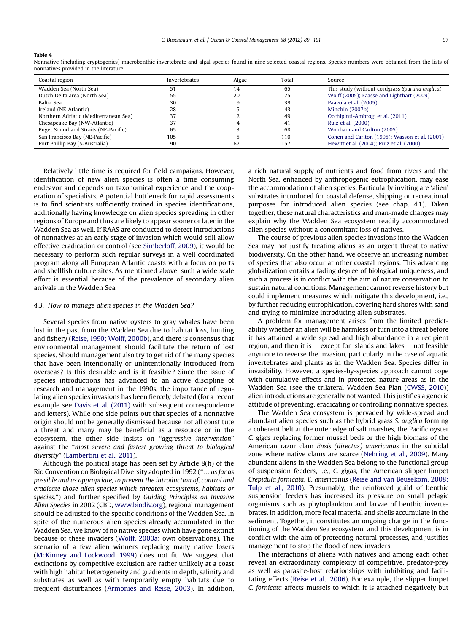<span id="page-8-0"></span>Nonnative (including cryptogenics) macrobenthic invertebrate and algal species found in nine selected coastal regions. Species numbers were obtained from the lists of nonnatives provided in the literature.

| Coastal region                        | <b>Invertebrates</b> | Algae | Total | Source                                          |
|---------------------------------------|----------------------|-------|-------|-------------------------------------------------|
| Wadden Sea (North Sea)                | 51                   | 14    | 65    | This study (without cordgrass Spartina anglica) |
| Dutch Delta area (North Sea)          | 55                   | 20    | 75    | Wolff (2005); Faasse and Lighthart (2009)       |
| <b>Baltic Sea</b>                     | 30                   |       | 39    | Paavola et al. (2005)                           |
| Ireland (NE-Atlantic)                 | 28                   | 15    | 43    | Minchin $(2007b)$                               |
| Northern Adriatic (Mediterranean Sea) |                      | 12    | 49    | Occhipinti-Ambrogi et al. (2011)                |
| Chesapeake Bay (NW-Atlantic)          | 37                   |       | 41    | Ruiz et al. (2000)                              |
| Puget Sound and Straits (NE-Pacific)  | 65                   |       | 68    | Wonham and Carlton (2005)                       |
| San Francisco Bay (NE-Pacific)        | 105                  |       | 110   | Cohen and Carlton (1995); Wasson et al. (2001)  |
| Port Phillip Bay (S-Australia)        | 90                   | 67    | 157   | Hewitt et al. (2004); Ruiz et al. (2000)        |

Relatively little time is required for field campaigns. However, identification of new alien species is often a time consuming endeavor and depends on taxonomical experience and the cooperation of specialists. A potential bottleneck for rapid assessments is to find scientists sufficiently trained in species identifications, additionally having knowledge on alien species spreading in other regions of Europe and thus are likely to appear sooner or later in the Wadden Sea as well. If RAAS are conducted to detect introductions of nonnatives at an early stage of invasion which would still allow effective eradication or control (see [Simberloff, 2009\)](#page-11-0), it would be necessary to perform such regular surveys in a well coordinated program along all European Atlantic coasts with a focus on ports and shellfish culture sites. As mentioned above, such a wide scale effort is essential because of the prevalence of secondary alien arrivals in the Wadden Sea.

## 4.3. How to manage alien species in the Wadden Sea?

Several species from native oysters to gray whales have been lost in the past from the Wadden Sea due to habitat loss, hunting and fishery ([Reise, 1990; Wolff, 2000b\)](#page-11-0), and there is consensus that environmental management should facilitate the return of lost species. Should management also try to get rid of the many species that have been intentionally or unintentionally introduced from overseas? Is this desirable and is it feasible? Since the issue of species introductions has advanced to an active discipline of research and management in the 1990s, the importance of regulating alien species invasions has been fiercely debated (for a recent example see [Davis et al. \(2011\)](#page-10-0) with subsequent correspondence and letters). While one side points out that species of a nonnative origin should not be generally dismissed because not all constitute a threat and many may be beneficial as a resource or in the ecosystem, the other side insists on "aggressive intervention" against the "most severe and fastest growing threat to biological diversity" ([Lambertini et al., 2011\)](#page-10-0).

Although the political stage has been set by Article 8(h) of the Rio Convention on Biological Diversity adopted in 1992 ("... as far as possible and as appropriate, to prevent the introduction of, control and eradicate those alien species which threaten ecosystems, habitats or species.") and further specified by Guiding Principles on Invasive Alien Species in 2002 (CBD, [www.biodiv.org](http://www.biodiv.org)), regional management should be adjusted to the specific conditions of the Wadden Sea. In spite of the numerous alien species already accumulated in the Wadden Sea, we know of no native species which have gone extinct because of these invaders [\(Wolff, 2000a;](#page-12-0) own observations). The scenario of a few alien winners replacing many native losers ([McKinney and Lockwood, 1999](#page-11-0)) does not fit. We suggest that extinctions by competitive exclusion are rather unlikely at a coast with high habitat heterogeneity and gradients in depth, salinity and substrates as well as with temporarily empty habitats due to frequent disturbances (Armonies [and Reise, 2003\)](#page-10-0). In addition, a rich natural supply of nutrients and food from rivers and the North Sea, enhanced by anthropogenic eutrophication, may ease the accommodation of alien species. Particularly inviting are 'alien' substrates introduced for coastal defense, shipping or recreational purposes for introduced alien species (see chap. 4.1). Taken together, these natural characteristics and man-made changes may explain why the Wadden Sea ecosystem readily accommodated alien species without a concomitant loss of natives.

The course of previous alien species invasions into the Wadden Sea may not justify treating aliens as an urgent threat to native biodiversity. On the other hand, we observe an increasing number of species that also occur at other coastal regions. This advancing globalization entails a fading degree of biological uniqueness, and such a process is in conflict with the aim of nature conservation to sustain natural conditions. Management cannot reverse history but could implement measures which mitigate this development, i.e., by further reducing eutrophication, covering hard shores with sand and trying to minimize introducing alien substrates.

A problem for management arises from the limited predictability whether an alien will be harmless or turn into a threat before it has attained a wide spread and high abundance in a recipient region, and then it is  $-$  except for islands and lakes  $-$  not feasible anymore to reverse the invasion, particularly in the case of aquatic invertebrates and plants as in the Wadden Sea. Species differ in invasibility. However, a species-by-species approach cannot cope with cumulative effects and in protected nature areas as in the Wadden Sea (see the trilateral Wadden Sea Plan ([CWSS, 2010\)](#page-10-0)) alien introductions are generally not wanted. This justifies a generic attitude of preventing, eradicating or controlling nonnative species.

The Wadden Sea ecosystem is pervaded by wide-spread and abundant alien species such as the hybrid grass S. anglica forming a coherent belt at the outer edge of salt marshes, the Pacific oyster C. gigas replacing former mussel beds or the high biomass of the American razor clam Ensis (directus) americanus in the subtidal zone where native clams are scarce [\(Nehring et al., 2009](#page-11-0)). Many abundant aliens in the Wadden Sea belong to the functional group of suspension feeders, i.e., C. gigas, the American slipper limpet Crepidula fornicata, E. americanus [\(Reise and van Beusekom, 2008;](#page-11-0) [Tulp et al., 2010](#page-11-0)). Presumably, the reinforced guild of benthic suspension feeders has increased its pressure on small pelagic organisms such as phytoplankton and larvae of benthic invertebrates. In addition, more fecal material and shells accumulate in the sediment. Together, it constitutes an ongoing change in the functioning of the Wadden Sea ecosystem, and this development is in conflict with the aim of protecting natural processes, and justifies management to stop the flood of new invaders.

The interactions of aliens with natives and among each other reveal an extraordinary complexity of competitive, predator-prey as well as parasite-host relationships with inhibiting and facilitating effects [\(Reise et al., 2006](#page-11-0)). For example, the slipper limpet C. fornicata affects mussels to which it is attached negatively but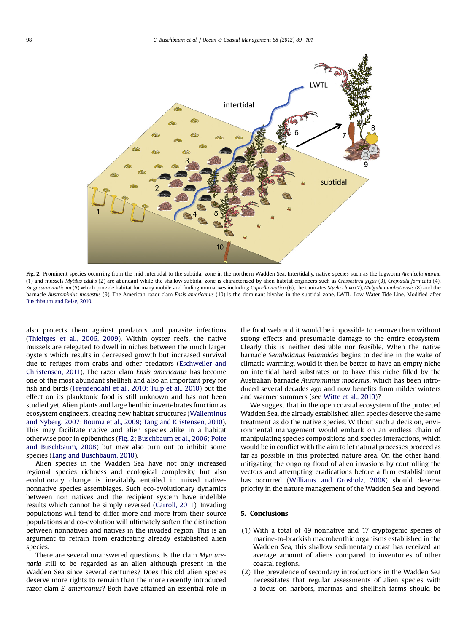

Fig. 2. Prominent species occurring from the mid intertidal to the subtidal zone in the northern Wadden Sea. Intertidally, native species such as the lugworm Arenicola marina (1) and mussels Mytilus edulis (2) are abundant while the shallow subtidal zone is characterized by alien habitat engineers such as Crassostrea gigas (3), Crepidula fornicata (4), Sargassum muticum (5) which provide habitat for many mobile and fouling nonnatives including Caprella mutica (6), the tunicates Styela clava (7), Molgula manhattensis (8) and the barnacle Austrominius modestus (9). The American razor clam Ensis americanus (10) is the dominant bivalve in the subtidal zone. LWTL: Low Water Tide Line. Modified after [Buschbaum and Reise, 2010](#page-10-0).

also protects them against predators and parasite infections ([Thieltges et al., 2006, 2009](#page-11-0)). Within oyster reefs, the native mussels are relegated to dwell in niches between the much larger oysters which results in decreased growth but increased survival due to refuges from crabs and other predators ([Eschweiler and](#page-10-0) [Christensen, 2011\)](#page-10-0). The razor clam Ensis americanus has become one of the most abundant shellfish and also an important prey for fish and birds [\(Freudendahl et al., 2010; Tulp et al., 2010](#page-10-0)) but the effect on its planktonic food is still unknown and has not been studied yet. Alien plants and large benthic invertebrates function as ecosystem engineers, creating new habitat structures [\(Wallentinus](#page-11-0) [and Nyberg, 2007; Bouma et al., 2009; Tang and Kristensen, 2010\)](#page-11-0). This may facilitate native and alien species alike in a habitat otherwise poor in epibenthos (Fig. 2; [Buschbaum et al., 2006; Polte](#page-10-0) [and Buschbaum, 2008\)](#page-10-0) but may also turn out to inhibit some species [\(Lang and Buschbaum, 2010\)](#page-10-0).

Alien species in the Wadden Sea have not only increased regional species richness and ecological complexity but also evolutionary change is inevitably entailed in mixed nativenonnative species assemblages. Such eco-evolutionary dynamics between non natives and the recipient system have indelible results which cannot be simply reversed [\(Carroll, 2011](#page-10-0)). Invading populations will tend to differ more and more from their source populations and co-evolution will ultimately soften the distinction between nonnatives and natives in the invaded region. This is an argument to refrain from eradicating already established alien species.

There are several unanswered questions. Is the clam Mya arenaria still to be regarded as an alien although present in the Wadden Sea since several centuries? Does this old alien species deserve more rights to remain than the more recently introduced razor clam E. americanus? Both have attained an essential role in the food web and it would be impossible to remove them without strong effects and presumable damage to the entire ecosystem. Clearly this is neither desirable nor feasible. When the native barnacle Semibalanus balanoides begins to decline in the wake of climatic warming, would it then be better to have an empty niche on intertidal hard substrates or to have this niche filled by the Australian barnacle Austrominius modestus, which has been introduced several decades ago and now benefits from milder winters and warmer summers (see [Witte et al., 2010\)](#page-12-0)?

We suggest that in the open coastal ecosystem of the protected Wadden Sea, the already established alien species deserve the same treatment as do the native species. Without such a decision, environmental management would embark on an endless chain of manipulating species compositions and species interactions, which would be in conflict with the aim to let natural processes proceed as far as possible in this protected nature area. On the other hand, mitigating the ongoing flood of alien invasions by controlling the vectors and attempting eradications before a firm establishment has occurred ([Williams and Grosholz, 2008](#page-11-0)) should deserve priority in the nature management of the Wadden Sea and beyond.

## 5. Conclusions

- (1) With a total of 49 nonnative and 17 cryptogenic species of marine-to-brackish macrobenthic organisms established in the Wadden Sea, this shallow sedimentary coast has received an average amount of aliens compared to inventories of other coastal regions.
- (2) The prevalence of secondary introductions in the Wadden Sea necessitates that regular assessments of alien species with a focus on harbors, marinas and shellfish farms should be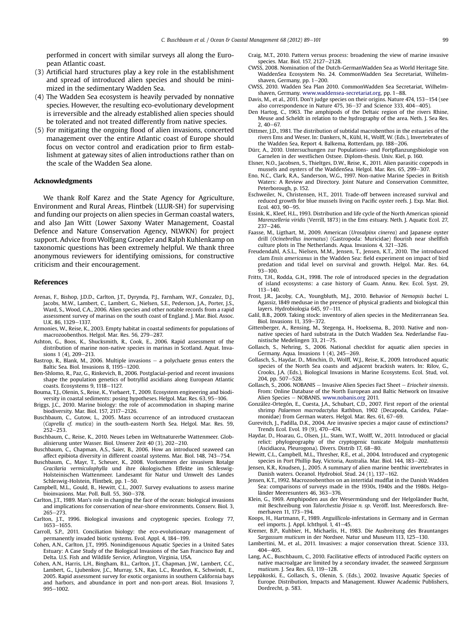<span id="page-10-0"></span>performed in concert with similar surveys all along the European Atlantic coast.

- (3) Artificial hard structures play a key role in the establishment and spread of introduced alien species and should be minimized in the sedimentary Wadden Sea.
- (4) The Wadden Sea ecosystem is heavily pervaded by nonnative species. However, the resulting eco-evolutionary development is irreversible and the already established alien species should be tolerated and not treated differently from native species.
- (5) For mitigating the ongoing flood of alien invasions, concerted management over the entire Atlantic coast of Europe should focus on vector control and eradication prior to firm establishment at gateway sites of alien introductions rather than on the scale of the Wadden Sea alone.

## Acknowledgments

We thank Rolf Karez and the State Agency for Agriculture, Environment and Rural Areas, Flintbek (LLUR-SH) for supervising and funding our projects on alien species in German coastal waters, and also Jan Witt (Lower Saxony Water Management, Coastal Defence and Nature Conservation Agency, NLWKN) for project support. Advice from Wolfgang Groepler and Ralph Kuhlenkamp on taxonomic questions has been extremely helpful. We thank three anonymous reviewers for identifying omissions, for constructive criticism and their encouragement.

## References

- Arenas, F., Bishop, J.D.D., Carlton, J.T., Dyrynda, P.J., Farnham, W.F., Gonzalez, D.J., Jacobs, M.W., Lambert, C., Lambert, G., Nielsen, S.E., Pederson, J.A., Porter, J.S., Ward, S., Wood, C.A., 2006. Alien species and other notable records from a rapid assessment survey of marinas on the south coast of England. J. Mar. Biol. Assoc. U.K. 86, 1329-1337.
- Armonies, W., Reise, K., 2003. Empty habitat in coastal sediments for populations of macrozoobenthos. Helgol. Mar. Res. 56, 279-287.
- Ashton, G., Boos, K., Shucksmith, R., Cook, E., 2006. Rapid assessment of the distribution of marine non-native species in marinas in Scotland. Aquat. Invasions  $1(4)$ ,  $209-213$ .
- Bastrop, R., Blank, M., 2006. Multiple invasions  $-$  a polychaete genus enters the Baltic Sea. Biol. Invasions 8, 1195-1200.
- Ben-Shlomo, R., Paz, G., Rinkevich, B., 2006. Postglacial-period and recent invasions shape the population genetics of botryllid ascidians along European Atlantic coasts. Ecosystems 9, 1118-1127.
- Bouma, T.J., Olenin, S., Reise, K., Ysebaert, T., 2009. Ecosystem engineering and biodiversity in coastal sediments: posing hypotheses. Helgol. Mar. Res. 63, 95-106.
- Briggs, J.C., 2010. Marine biology: the role of accommodation in shaping marine<br>biodiversity. Mar. Biol. 157, 2117–2126.
- Buschbaum, C., Gutow, L., 2005. Mass occurrence of an introduced crustacean (Caprella cf. mutica) in the south-eastern North Sea. Helgol. Mar. Res. 59,  $252 - 253.$
- Buschbaum, C., Reise, K., 2010. Neues Leben im Weltnaturerbe Wattenmeer. Glob-
- alisierung unter Wasser. Biol. Unserer Zeit 40 (3), 202–210.<br>Buschbaum, C., Chapman, A.S., Saier, B., 2006. How an introduced seaweed can affect epibiota diversity in different coastal systems. Mar. Biol. 148, 743-754.
- Buschbaum, C., Mayr, T., Scheuer, K., 2008. Vorkommen der invasiven Rotalge Gracilaria vermiculophylla und ihre ökologischen Effekte im Schleswig-Holsteinischen Wattenmeer. Landesamt für Natur und Umwelt des Landes Schleswig-Holstein, Flintbek, pp. 1-50.
- Campbell, M.L., Gould, B., Hewitt, C.L., 2007. Survey evaluations to assess marine bioinvasions. Mar. Poll. Bull. 55, 360-378.
- Carlton, J.T., 1989. Man's role in changing the face of the ocean: biological invasions and implications for conservation of near-shore environments. Conserv. Biol. 3,  $265 - 273.$
- Carlton, J.T., 1996. Biological invasions and cryptogenic species. Ecology 77, 1653-1655
- Carroll, S.P., 2011. Conciliation biology: the eco-evolutionary management of permanently invaded biotic systems. Evol. Appl. 4, 184-199.
- Cohen, A.N., Carlton, J.T., 1995. Nonindigenuous Aquatic Species in a United Sates Estuary: A Case Study of the Biological Invasions of the San Francisco Bay and Delta. U.S. Fish and Wildlife Service, Arlington, Virginia, USA.
- Cohen, A.N., Harris, L.H., Bingham, B.L., Carlton, J.T., Chapman, J.W., Lambert, C.C., Lambert, G., Ljubenkov, J.C., Murray, S.N., Rao, L.C., Reardon, K., Schwindt, E., 2005. Rapid assessment survey for exotic organisms in southern California bays and harbors, and abundance in port and non-port areas. Biol. Invasions 7, 995-1002.
- Craig, M.T., 2010. Pattern versus process: broadening the view of marine invasive species. Mar. Biol. 157, 2127-2128.
- CWSS, 2008. Nomination of the Dutch-GermanWadden Sea as World Heritage Site. WaddenSea Ecosystem No. 24. CommonWadden Sea Secretariat, Wilhelmshaven, Germany, pp. 1-200.
- CWSS, 2010. Wadden Sea Plan 2010. CommonWadden Sea Secretariat, Wilhelmshaven, Germany. [www.waddensea-secretariat.org,](http://www.waddensea-secretariat.org) pp. 1-88.
- Davis, M., et al., 2011. Don't judge species on their origins. Nature 474, 153-154 (see also correspondence in Nature  $475$ ,  $36-37$  and Science 333,  $404-405$ ).
- Den Hartog, C., 1963. The amphipods of the Deltaic region of the rivers Rhine, Meuse and Scheldt in relation to the hydrography of the area. Neth. J. Sea Res.  $2, 40 - 67$
- Dittmer, J.D., 1981. The distribution of subtidal macrobenthos in the estuaries of the rivers Ems and Weser. In: Dankers, N., Kühl, H., Wolff, W. (Eds.), Invertebrates of the Wadden Sea, Report 4. Balkema, Rotterdam, pp. 188-206.
- Dürr, A., 2010. Untersuchungen zur Populations- und Fortpflanzungsbiologie von Garnelen in der westlichen Ostsee. Diplom-thesis. Univ. Kiel, p. 160.
- Elsner, N.O., Jacobsen, S., Thieltges, D.W., Reise, K., 2011. Alien parasitic copepods in mussels and oysters of the WaddenSea. Helgol. Mar. Res. 65, 299-307.
- Eno, N.C., Clark, R.A., Sanderson, W.G., 1997. Non-native Marine Species in British Waters: A Review and Directory. Joint Nature and Conservation Committee, Peterborough, p. 152.
- Eschweiler, N., Christensen, H.T., 2011. Trade-off between increased survival and reduced growth for blue mussels living on Pacific oyster reefs. J. Exp. Mar. Biol. Ecol. 403, 90-95
- Essink, K., Kleef, H.L., 1993. Distribution and life cycle of the North American spionid Marenzelleria viridis (Verrill, 1873) in the Ems estuary. Neth. J. Aquatic Ecol. 27,  $237 - 246$
- Faasse, M., Ligthart, M., 2009. American (Urosalpinx cinerea) and Japanese oyster drill (Ocinebrellus inornatus) (Gastropoda: Muricidae) flourish near shellfish culture plots in The Netherlands. Aqua. Invasions 4, 321-326.
- Freudendahl, A.S.L., Nielsen, M.M., Jensen, T., Jensen, K.T., 2010. The introduced clam Ensis americanus in the Wadden Sea: field experiment on impact of bird predation and tidal level on survival and growth. Helgol. Mar. Res. 64,  $93 - 100$
- Fritts, T.H., Rodda, G.H., 1998. The role of introduced species in the degradation of island ecosystems: a case history of Guam. Annu. Rev. Ecol. Syst. 29,  $113 - 140$ .
- Frost, J.R., Jacoby, C.A., Youngbluth, M.J., 2010. Behavior of Nemopsis bachei L. Agassiz, 1849 medusae in the presence of physical gradients and biological thin layers. Hydrobiologia 645, 97-111.
- Galil, B.B., 2009. Taking stock: inventory of alien species in the Mediterranean Sea. Biol. Invasions 11, 359-372.
- Gittenberger, A., Rensing, M., Stegenga, H., Hoeksema, B., 2010. Native and nonnative species of hard substrata in the Dutch Wadden Sea. Nederlandse Faunistische Medelingen 33, 21-75.
- Gollasch, S., Nehring, S., 2006. National checklist for aquatic alien species in Germany. Aqua. Invasions  $1(4)$ ,  $245-269$ .
- Gollasch, S., Haydar, D., Minchin, D., Wolff, W.J., Reise, K., 2009. Introduced aquatic species of the North Sea coasts and adjacent brackish waters. In: Rilov, G. Crooks, J.A. (Eds.), Biological Invasions in Marine Ecosystems. Ecol. Stud, vol. 204, pp. 507-528.
- Gollasch, S., 2006. NOBANIS Invasive Alien Species Fact Sheet Eriocheir sinensis. From: Online Database of the North European and Baltic Network on Invasive Alien Species - NOBANIS. [www.nobanis.org](http://www.nobanis.org) 2011.
- González-Ortegón, E., Cuesta, J.A., Schubart, C.D., 2007. First report of the oriental shrimp Palaemon macrodactylus Rathbun, 1902 (Decapoda, Caridea, Palaemonidae) from German waters. Helgol. Mar. Res. 61, 67-69.
- Gurevitch, J., Padilla, D.K., 2004. Are invasive species a major cause of extinctions? Trends Ecol. Evol. 19 (9), 470-474.
- Haydar, D., Hoarau, G., Olsen, J.L., Stam, W.T., Wolff, W., 2011. Introduced or glacial relict: phylogeography of the cryptogenic tunicate Molgula manhattensis (Ascidiacea, Pleurogona). Divers. Distrib 17, 68-80.
- Hewitt, C.L., Campbell, M.L., Thresher, R.E., et al., 2004. Introduced and cryptogenic species in Port Phillip Bay, Victoria, Australia. Mar. Biol. 144, 183-202.
- Jensen, K.R., Knudsen, J., 2005. A summary of alien marine benthic invertebrates in Danish waters. Oceanol. Hydrobiol. Stud. 24 (1), 137-162.
- Jensen, K.T., 1992. Macrozoobenthos on an intertidal mudflat in the Danish Wadden Sea: comparisons of surveys made in the 1930s, 1940s and the 1980s. Helgoländer Meeresunters 46, 363-376.
- Klein, G., 1969. Amphipoden aus der Wesermündung und der Helgoländer Bucht, mit Beschreibung von Talorchestia frisiae n. sp. Veröff. Inst. Meeresforsch. Bremerhaven 11, 173-194.
- Koops, H., Hartmann, F., 1989. Anguillicola-infestations in Germany and in German eel imports. J. Appl. Ichthyol. 1, 41-45.
- Kremer, B.P., Kuhbier, H., Michaelis, H., 1983. Die Ausbreitung des Brauntanges Sargassum muticum in der Nordsee. Natur und Museum 113, 125-130.
- Lambertini, M., et al., 2011. Invasives: a major conservation threat. Science 333,  $404 - 405.$
- Lang, A.C., Buschbaum, C., 2010. Facilitative effects of introduced Pacific oysters on native macroalgae are limited by a secondary invader, the seaweed Sargassum muticum. I. Sea Res. 63, 119-128.
- Leppäkoski, E., Gollasch, S., Olenin, S. (Eds.), 2002. Invasive Aquatic Species of Europe. Distribution, Impacts and Management. Kluwer Academic Publishers, Dordrecht, p. 583.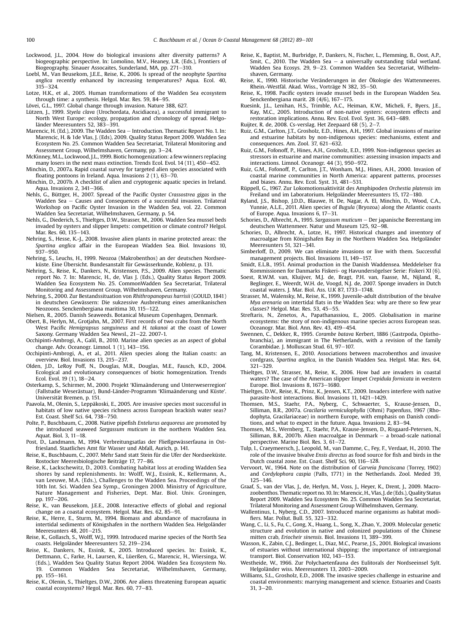- <span id="page-11-0"></span>Lockwood, J.L., 2004. How do biological invasions alter diversity patterns? A biogeographic perspective. In: Lomolino, M.V., Heaney, L.R. (Eds.), Frontiers of Biogeography. Sinauer Assocaites, Sunderland, MA, pp. 271-310.
- Loebl, M., Van Beusekom, J.E.E., Reise, K., 2006. Is spread of the neophyte Spartina anglica recently enhanced by increasing temperatures? Aqua. Ecol. 40,  $315 - 324$
- Lotze, H.K., et al., 2005. Human transformations of the Wadden Sea ecosystem through time: a synthesis. Helgol. Mar. Res. 59, 84-95.
- Lövei, G.L., 1997. Global change through invasion. Nature 388, 627.
- Lützen, J., 1999. Styela clava (Urochordata, Ascidiacea), a successful immigrant to North West Europe: ecology, propagation and chronology of spread. Helgo-<br>länder Meeresunters 52, 383–391.
- Marencic, H. (Ed.), 2009. The Wadden Sea Introduction. Thematic Report No. 1. In: Marencic, H. & 1de Vlas, J. (Eds), 2009. Quality Status Report 2009. Wadden Sea Ecosystem No. 25. Common Wadden Sea Secretariat, Trilateral Monitoring and Assessment Group, Wilhelmshaven, Germany, pp. 3-24.
- McKinney, M.L., Lockwood, J.L.,1999. Biotic homogenization: a few winners replacing many losers in the next mass extinction. Trends Ecol. Evol.  $14(11)$ ,  $450-452$ . Minchin, D., 2007a. Rapid coastal survey for targeted alien species associated with
- floating pontoons in Ireland. Aqua. Invasions  $2(1)$ , 63-70. Minchin, D., 2007b. A checklist of alien and cryptogenic aquatic species in Ireland.
- Aqua. Invasions  $2$ ,  $341-366$ . Nehls, G., Büttger, H., 2007. Spread of the Pacific Oyster Crassostrea gigas in the Wadden Sea - Causes and Consequences of a successful invasion. Trilateral Workshop on Pacific Oyster Invasion in the Wadden Sea, vol. 22. Common
- Wadden Sea Secretariat, Wilhelmshaven, Germany, p. 54. Nehls, G., Diederich, S., Thieltges, D.W., Strasser, M., 2006. Wadden Sea mussel beds invaded by oysters and slipper limpets: competition or climate control? Helgol. Mar. Res. 60, 135-143.
- Nehring, S., Hesse, K.-J., 2008. Invasive alien plants in marine protected areas: the Spartina anglica affair in the European Wadden Sea. Biol. Invasions 10,  $937 - 950$
- Nehring, S., Leuchs, H., 1999. Neozoa (Makrobenthos) an der deutschen Nordseeküste. Eine Übersicht. Bundesanstalt für Gewässerkunde, Koblenz, p. 131.
- Nehring, S., Reise, K., Dankers, N., Kristensen, P.S., 2009. Alien species. Thematic report No. 7. In: Marencic, H., de, Vlas J. (Eds.), Quality Status Report 2009. Wadden Sea Ecosystem No. 25. CommonWadden Sea Secretariat, Trilateral Monitoring and Assessment Group, Wilhelmshaven, Germany.
- Nehring, S., 2000. Zur Bestandssituation von Rhithropanopeus harrisii (GOULD, 1841) in deutschen Gewässern: Die sukzessive Ausbreitung eines amerikanischen Neozoons. Senckenbergiana maritima 30, 115-122.
- Nielsen, R., 2005. Danish Seaweeds. Botanical Museum Copenhagen, Denmark.
- Obert, B., Herlyn, M., Grotjahn, M., 2007. First records of two crabs from the North West Pacific Hemigrapsus sanguineus and H. takanoi at the coast of Lower Saxony. Germany Wadden Sea Newsl., 21–22. 2007-1.
- Occhipinti-Ambrogi, A., Galil, B., 2010. Marine alien species as an aspect of global change. Adv. Oceanogr. Limnol. 1 (1), 143-156.
- Occhipinti-Ambrogi, A., et al., 2011. Alien species along the Italian coasts: an overview. Biol. Invasions 13, 215-237.
- Olden, J.D., LeRoy Poff, N., Douglas, M.R., Douglas, M.E., Fausch, K.D., 2004. Ecological and evolutionary consequences of biotic homogenization. Trends Ecol. Evol. 19 (1), 18-24.
- Osterkamp, S., Schirmer, M., 2000. Projekt 'Klimaänderung und Unterweserregion' (Fallstudie Weserästuar), Bund-Länder-Programm 'Klimaänderung und Küste'. Universität Bremen, p. 151.
- Paavola, M., Olenin, S., Leppäkoski, E., 2005. Are invasive species most successful in habitats of low native species richness across European brackish water seas? Est. Coast. Shelf Sci. 64, 738-750.
- Polte, P., Buschbaum, C., 2008. Native pipefish Entelurus aequoreus are promoted by the introduced seaweed Sargassum muticum in the northern Wadden Sea. Aquat. Biol. 3,  $11-18$ .
- Post, D., Landmann, M., 1994. Verbreitungsatlas der Fließgewässerfauna in Ostfriesland. Staatliches Amt für Wasser und Abfall, Aurich, p. 141.
- Reise, K., Buschbaum, C., 2007. Mehr Sand statt Stein für die Ufer der Nordseeküste. Rostocker Meeresbiologische Beiträge 17, 77-86.
- Reise, K., Lackschewitz, D., 2003. Combating habitat loss at eroding Wadden Sea shores by sand replenishments. In: Wolff, W.J., Essink, K., Kellermann, A., van Leeuwe, M.A. (Eds.), Challenges to the Wadden Sea. Proceedings of the 10th Int. Sci. Wadden Sea Symp., Groningen 2000. Ministry of Agriculture, Nature Management and Fisheries, Dept. Mar. Biol. Univ. Groningen, pp. 197-206.
- Reise, K., van Beusekom, J.E.E., 2008. Interactive effects of global and regional change on a coastal ecosystem. Helgol. Mar. Res. 62, 85-91.
- Reise, K., Herre, E., Sturm, M., 1994. Biomass and abundance of macrofauna in intertidal sediments of Königshafen in the northern Wadden Sea. Helgoländer Meeresunters  $48$ ,  $201-215$ .
- Reise, K., Gollasch, S., Wolff, W.J., 1999. Introduced marine species of the North Sea coasts. Helgoländer Meeresunters 52, 219-234.
- Reise, K., Dankers, N., Essink, K., 2005. Introduced species. In: Essink, K., Dettmann, C., Farke, H., Laursen, K., Lüerßen, G., Marencic, H., Wiersinga, W. (Eds.), Wadden Sea Quality Status Report 2004. Wadden Sea Ecosystem No. Wadden Sea Secretariat, Wilhelmshaven, Germany, pp. 155-161.
- Reise, K., Olenin, S., Thieltges, D.W., 2006. Are aliens threatening European aquatic coastal ecosystems? Hegol. Mar. Res. 60, 77–83.
- Reise, K., Baptist, M., Burbridge, P., Dankers, N., Fischer, L., Flemming, B., Oost, A.P., Smit,  $C_n$  2010. The Wadden Sea  $-$  a universally outstanding tidal wetland. Wadden Sea Ecosys, 29, 9-23. Common Wadden Sea Secretariat, Wilhelmshaven, Germany.
- Reise, K., 1990. Historische Veränderungen in der Ökologie des Wattenmeeres. Rhein.-Westfäl. Akad. Wiss., Vorträge N 382, 35-50.
- Reise, K., 1998. Pacific oysters invade mussel beds in the European Wadden Sea. Senckenbergiana marit. 28  $(4/6)$ , 167-175.
- Ruesink, J.L., Lenihan, H.S., Trimble, A.C., Heiman, K.W., Micheli, F., Byers, J.E., Kay, M.C., 2005. Introduction of non-native oysters: ecosystem effects and restoration implications. Annu. Rev. Ecol. Evol. Syst. 36, 643-689. Ruijter, R. de, 2008. Cs-verslag. Het Zeepaard 68  $(5)$ , 2-7.
- 
- Ruiz, G.M., Carlton, J.T., Grosholz, E.D., Hines, A.H., 1997. Global invasions of marine and estuarine habitats by non-indigenous species: mechanisms, extent and  $consequences.$  Am. Zool.  $37,621-632.$
- Ruiz, G.M., Fofonoff, P., Hines, A.H., Grosholz, E.D., 1999. Non-indigenous species as stressors in estuarine and marine communities: assessing invasion impacts and interactions. Limnol. Oceanogr.  $44$  (3),  $950-972$ .
- Ruiz, G.M., Fofonoff, P., Carlton, J.T., Wonham, M.J., Hines, A.H., 2000. Invasion of coastal marine communities in North America: apparent patterns, processes and biases. Annu. Rev. Ecol. Syst. 31, 481-531.
- Rüppell, G., 1967. Zur Lokomotionsaktivität des Amphipoden Orchestia platensis im Freiland und im Laboratorium. Helgoländer Meeresunters 15, 172-180.
- Ryland, J.S., Bishop, J.D.D., Blauwe, H. De, Nagar, A. El, Minchin, D., Wood, C.A., Yunnie, A.L.E., 2011. Alien species of Bugula (Bryozoa) along the Atlantic coasts of Europe. Aqua. Invasions 6,  $17-31$ .
- Schories, D., Albrecht, A., 1995. Sargassum muticum Der japanische Beerentang im deutschen Wattenmeer. Natur und Museum 125, 92-98.
- Schories, D., Albrecht, A., Lotze, H., 1997. Historical changes and inventory of macroalgae from Königshafen Bay in the Northern Wadden Sea. Helgoländer Meeresunters 51, 321-341.
- Simberloff, D., 2009. We can eliminate invasions or live with them. Successful management projects. Biol. Invasions 11, 149-157.
- Smidt, E.L.B., 1951. Animal production in the Danish Waddensea. Meddelelser fra Kommissionen for Danmarks Fiskeri- og Havundersögelser Serie: Fiskeri XI (6).
- Soest, R.W.M. van, Kluijver, M.J. de, Bragt, P.H. van, Faasse, M., Nijland, R., Beglinger, E., Weerdt, W.H. de, Voogd, N.J. de, 2007. Sponge invaders in Dutch coastal waters. J. Mar. Biol. Ass. U.K 87, 1733-1748.
- Strasser, M., Walensky, M., Reise, K., 1999. Juvenile-adult distribution of the bivalve Mya arenaria on intertidal flats in the Wadden Sea: why are there so few year classes? Helgol. Mar. Res. 53, 45-55.
- Streftaris, N., Zenetos, A., Papathanassiou, E., 2005. Globalisation in marine ecosystems: the story of non-indigenous marine species across European seas. Oceanogr. Mar. Biol. Ann. Rev. 43, 419-454.
- Swennen, C., Dekker, R., 1995. Corambe batava Kerbert, 1886 (Gastrpoda, Opisthobranchia), an immigrant in The Netherlands, with a revision of the family Corambidae. J. Molluscan Stud. 61, 97-107.
- Tang, M., Kristensen, E., 2010. Associations between macrobenthos and invasive cordgrass, Spartina anglica, in the Danish Wadden Sea. Helgol. Mar. Res. 64,  $321 - 329$ .
- Thieltges, D.W., Strasser, M., Reise, K., 2006. How bad are invaders in coastal waters? The case of the American slipper limpet Crepidula fornicata in western Europe. Biol. Invasions 8, 1673-1680.
- Thieltges, D.W., Reise, K., Prinz, K., Jensen, K.T., 2009. Invaders interfere with native parasite-host interactions. Biol. Invasions 11, 1421-1429.
- Thomsen, M.S., Staehr, P.A., Nyberg, C., Schwaerter, S., Krause-Jensen, D., Silliman, B.R., 2007a. Gracilaria vermiculophylla (Ohmi) Papenfuss, 1967 (Rhodophyta, Gracilariaceae) in northern Europe, with emphasis on Danish conditions, and what to expect in the future. Aqua. Invasions  $2, 83-94$ .
- Thomsen, M.S., Wernberg, T., Staehr, P.A., Krause-Jensen, D., Risgaard-Petersen, N., Silliman, B.R., 2007b. Alien macroalgae in Denmark  $-$  a broad-scale national perspective. Marine Biol. Res. 3, 61-72.
- Tulp, I., Craeymeersch, J., Leopold, M., van Damme, C., Fey, F., Verdaat, H., 2010. The role of the invasive bivalve Ensis directus as food source for fish and birds in the Dutch coastal zone. Est. Coast. Shelf Sci. 90, 116-128.
- Vervoort, W., 1964. Note on the distribution of Garveia franciscana (Torrey, 1902) and Cordylophora caspia (Palls, 1771) in the Netherlands. Zool. Meded 39,  $125 - 146.$
- Graaf, S., van der Vlas, J., de, Herlyn, M., Voss, J., Heyer, K., Drent, J., 2009. Macrozoobenthos. Thematic report no. 10. In: Marencic, H., Vlas, J. de (Eds.), Quality Status Report 2009. Wadden Sea Ecosystem No. 25. Common Wadden Sea Secretariat, Trilateral Monitoring and Assessment Group Wilhelmshaven, Germany.
- Wallentinus, I., Nyberg, C.D., 2007. Introduced marine organisms as habitat modifiers. Mar. Pollut. Bull. 55, 323-332.
- Wang, C., Li, S., Fu, C., Gong, X., Huang, L., Song, X., Zhao, Y., 2009. Molecular genetic structure and evolution in native and colonized populations of the Chinese mitten crab, Eriocheir sinensis. Biol. Invasions 11, 389-399.
- Wasson, K., Zabin, C.J., Bedinger, L., Diaz, M.C., Pearse, J.S., 2001. Biological invasions of estuaries without international shipping: the importance of intraregional transport. Biol. Conservation 102, 143-153.
- Westheide, W., 1966. Zur Polychaetenfauna des Eulitorals der Nordseeinsel Sylt. Helgoländer wiss. Meeresunters 13, 2003-2009.
- Williams, S.L., Grosholz, E.D., 2008. The invasive species challenge in estuarine and coastal environments: marrying management and science. Estuaries and Coasts  $31, 3 - 20.$